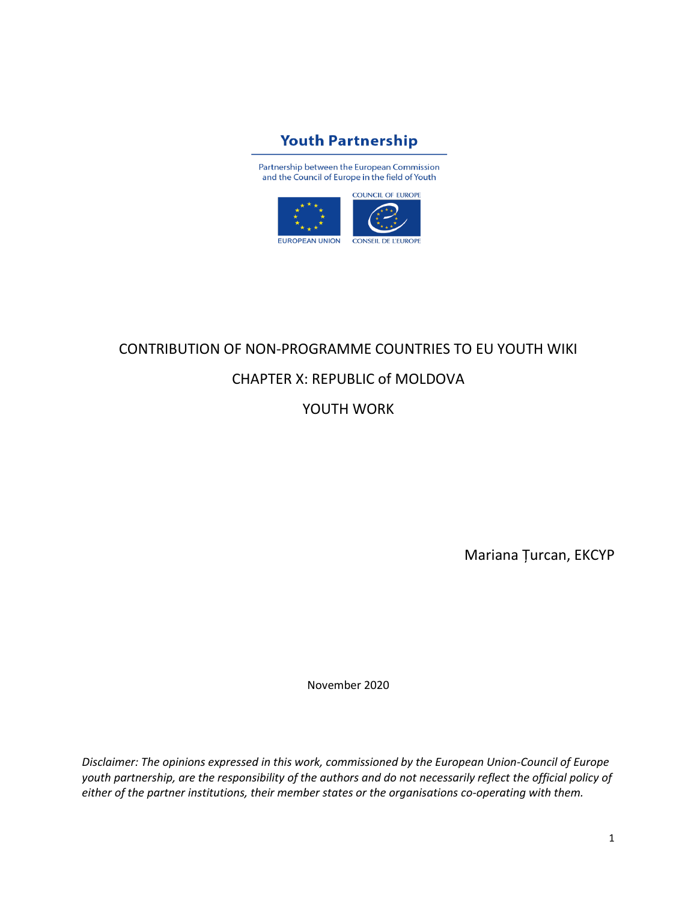

Partnership between the European Commission and the Council of Europe in the field of Youth



# CONTRIBUTION OF NON-PROGRAMME COUNTRIES TO EU YOUTH WIKI

# CHAPTER X: REPUBLIC of MOLDOVA

YOUTH WORK

Mariana Țurcan, EKCYP

November 2020

*Disclaimer: The opinions expressed in this work, commissioned by the European Union-Council of Europe youth partnership, are the responsibility of the authors and do not necessarily reflect the official policy of either of the partner institutions, their member states or the organisations co-operating with them.*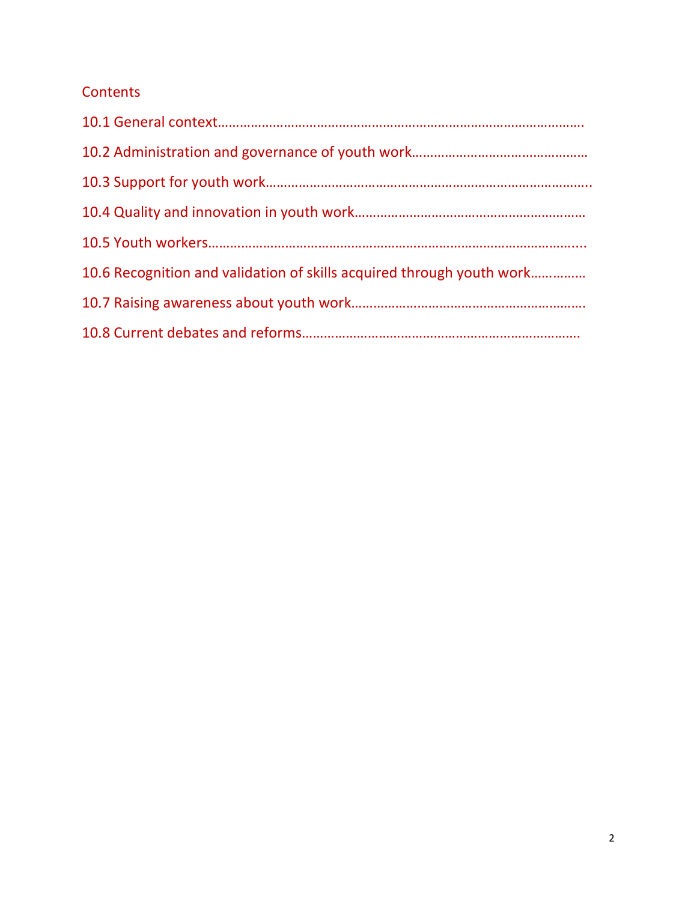# **Contents**

| 10.6 Recognition and validation of skills acquired through youth work |
|-----------------------------------------------------------------------|
|                                                                       |
|                                                                       |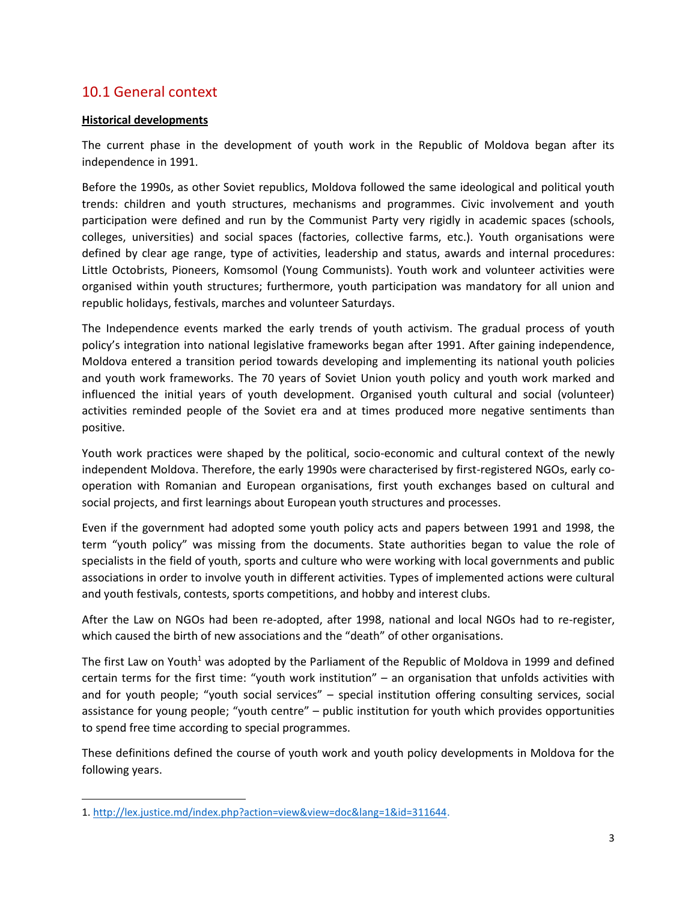## 10.1 General context

#### **Historical developments**

The current phase in the development of youth work in the Republic of Moldova began after its independence in 1991.

Before the 1990s, as other Soviet republics, Moldova followed the same ideological and political youth trends: children and youth structures, mechanisms and programmes. Civic involvement and youth participation were defined and run by the Communist Party very rigidly in academic spaces (schools, colleges, universities) and social spaces (factories, collective farms, etc.). Youth organisations were defined by clear age range, type of activities, leadership and status, awards and internal procedures: Little Octobrists, Pioneers, Komsomol (Young Communists). Youth work and volunteer activities were organised within youth structures; furthermore, youth participation was mandatory for all union and republic holidays, festivals, marches and volunteer Saturdays.

The Independence events marked the early trends of youth activism. The gradual process of youth policy's integration into national legislative frameworks began after 1991. After gaining independence, Moldova entered a transition period towards developing and implementing its national youth policies and youth work frameworks. The 70 years of Soviet Union youth policy and youth work marked and influenced the initial years of youth development. Organised youth cultural and social (volunteer) activities reminded people of the Soviet era and at times produced more negative sentiments than positive.

Youth work practices were shaped by the political, socio-economic and cultural context of the newly independent Moldova. Therefore, the early 1990s were characterised by first-registered NGOs, early cooperation with Romanian and European organisations, first youth exchanges based on cultural and social projects, and first learnings about European youth structures and processes.

Even if the government had adopted some youth policy acts and papers between 1991 and 1998, the term "youth policy" was missing from the documents. State authorities began to value the role of specialists in the field of youth, sports and culture who were working with local governments and public associations in order to involve youth in different activities. Types of implemented actions were cultural and youth festivals, contests, sports competitions, and hobby and interest clubs.

After the Law on NGOs had been re-adopted, after 1998, national and local NGOs had to re-register, which caused the birth of new associations and the "death" of other organisations.

The first Law on Youth<sup>1</sup> was adopted by the Parliament of the Republic of Moldova in 1999 and defined certain terms for the first time: "youth work institution" – an organisation that unfolds activities with and for youth people; "youth social services" – special institution offering consulting services, social assistance for young people; "youth centre" – public institution for youth which provides opportunities to spend free time according to special programmes.

These definitions defined the course of youth work and youth policy developments in Moldova for the following years.

<sup>1.</sup> [http://lex.justice.md/index.php?action=view&view=doc&lang=1&id=311644.](http://lex.justice.md/index.php?action=view&view=doc&lang=1&id=311644)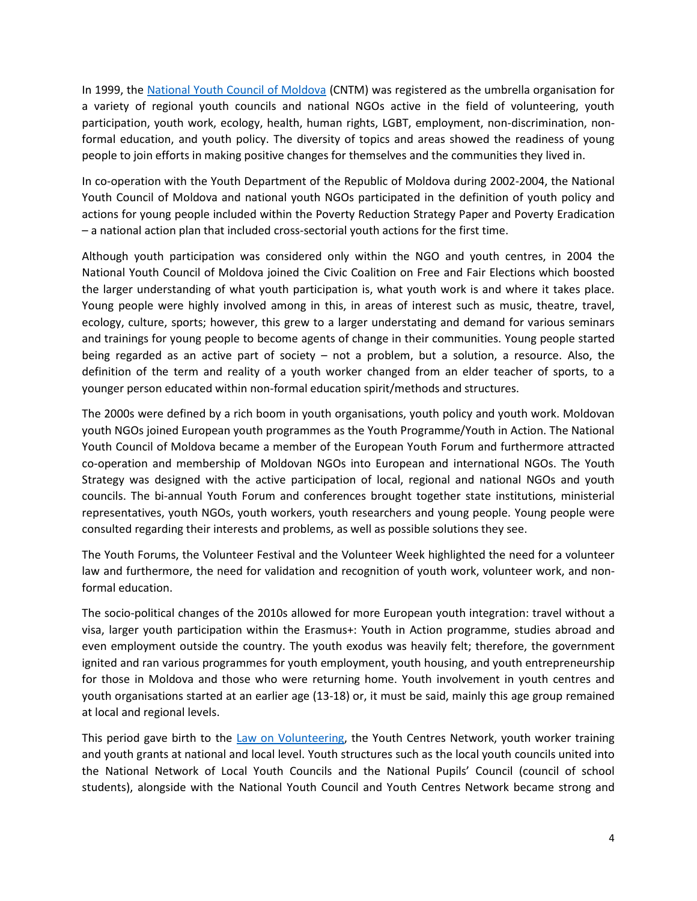In 1999, the [National Youth Council of Moldova](https://cntm.md/) (CNTM) was registered as the umbrella organisation for a variety of regional youth councils and national NGOs active in the field of volunteering, youth participation, youth work, ecology, health, human rights, LGBT, employment, non-discrimination, nonformal education, and youth policy. The diversity of topics and areas showed the readiness of young people to join efforts in making positive changes for themselves and the communities they lived in.

In co-operation with the Youth Department of the Republic of Moldova during 2002-2004, the National Youth Council of Moldova and national youth NGOs participated in the definition of youth policy and actions for young people included within the Poverty Reduction Strategy Paper and Poverty Eradication – a national action plan that included cross-sectorial youth actions for the first time.

Although youth participation was considered only within the NGO and youth centres, in 2004 the National Youth Council of Moldova joined the Civic Coalition on Free and Fair Elections which boosted the larger understanding of what youth participation is, what youth work is and where it takes place. Young people were highly involved among in this, in areas of interest such as music, theatre, travel, ecology, culture, sports; however, this grew to a larger understating and demand for various seminars and trainings for young people to become agents of change in their communities. Young people started being regarded as an active part of society – not a problem, but a solution, a resource. Also, the definition of the term and reality of a youth worker changed from an elder teacher of sports, to a younger person educated within non-formal education spirit/methods and structures.

The 2000s were defined by a rich boom in youth organisations, youth policy and youth work. Moldovan youth NGOs joined European youth programmes as the Youth Programme/Youth in Action. The National Youth Council of Moldova became a member of the European Youth Forum and furthermore attracted co-operation and membership of Moldovan NGOs into European and international NGOs. The Youth Strategy was designed with the active participation of local, regional and national NGOs and youth councils. The bi-annual Youth Forum and conferences brought together state institutions, ministerial representatives, youth NGOs, youth workers, youth researchers and young people. Young people were consulted regarding their interests and problems, as well as possible solutions they see.

The Youth Forums, the Volunteer Festival and the Volunteer Week highlighted the need for a volunteer law and furthermore, the need for validation and recognition of youth work, volunteer work, and nonformal education.

The socio-political changes of the 2010s allowed for more European youth integration: travel without a visa, larger youth participation within the Erasmus+: Youth in Action programme, studies abroad and even employment outside the country. The youth exodus was heavily felt; therefore, the government ignited and ran various programmes for youth employment, youth housing, and youth entrepreneurship for those in Moldova and those who were returning home. Youth involvement in youth centres and youth organisations started at an earlier age (13-18) or, it must be said, mainly this age group remained at local and regional levels.

This period gave birth to the [Law on Volunteering,](https://mecc.gov.md/sites/default/files/legea_voluntariatului_nr._121_din_18.06.2016.pdf) the Youth Centres Network, youth worker training and youth grants at national and local level. Youth structures such as the local youth councils united into the National Network of Local Youth Councils and the National Pupils' Council (council of school students), alongside with the National Youth Council and Youth Centres Network became strong and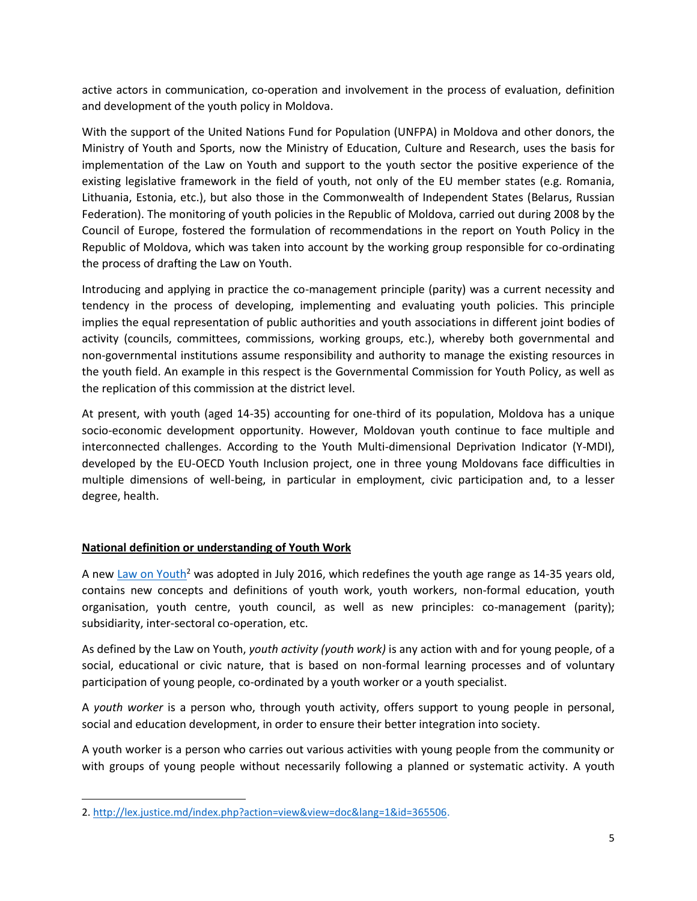active actors in communication, co-operation and involvement in the process of evaluation, definition and development of the youth policy in Moldova.

With the support of the United Nations Fund for Population (UNFPA) in Moldova and other donors, the Ministry of Youth and Sports, now the Ministry of Education, Culture and Research, uses the basis for implementation of the Law on Youth and support to the youth sector the positive experience of the existing legislative framework in the field of youth, not only of the EU member states (e.g. Romania, Lithuania, Estonia, etc.), but also those in the Commonwealth of Independent States (Belarus, Russian Federation). The monitoring of youth policies in the Republic of Moldova, carried out during 2008 by the Council of Europe, fostered the formulation of recommendations in the report on Youth Policy in the Republic of Moldova, which was taken into account by the working group responsible for co-ordinating the process of drafting the Law on Youth.

Introducing and applying in practice the co-management principle (parity) was a current necessity and tendency in the process of developing, implementing and evaluating youth policies. This principle implies the equal representation of public authorities and youth associations in different joint bodies of activity (councils, committees, commissions, working groups, etc.), whereby both governmental and non-governmental institutions assume responsibility and authority to manage the existing resources in the youth field. An example in this respect is the Governmental Commission for Youth Policy, as well as the replication of this commission at the district level.

At present, with youth (aged 14-35) accounting for one-third of its population, Moldova has a unique socio-economic development opportunity. However, Moldovan youth continue to face multiple and interconnected challenges. According to the Youth Multi-dimensional Deprivation Indicator (Y-MDI), developed by the EU-OECD Youth Inclusion project, one in three young Moldovans face difficulties in multiple dimensions of well-being, in particular in employment, civic participation and, to a lesser degree, health.

#### **National definition or understanding of Youth Work**

A new [Law on Youth](http://lex.justice.md/index.php?action=view&view=doc&lang=1&id=365506)<sup>2</sup> was adopted in July 2016, which redefines the youth age range as 14-35 years old, contains new concepts and definitions of youth work, youth workers, non-formal education, youth organisation, youth centre, youth council, as well as new principles: co-management (parity); subsidiarity, inter-sectoral co-operation, etc.

As defined by the Law on Youth, *youth activity (youth work)* is any action with and for young people, of a social, educational or civic nature, that is based on non-formal learning processes and of voluntary participation of young people, co-ordinated by a youth worker or a youth specialist.

A *youth worker* is a person who, through youth activity, offers support to young people in personal, social and education development, in order to ensure their better integration into society.

A youth worker is a person who carries out various activities with young people from the community or with groups of young people without necessarily following a planned or systematic activity. A youth

<sup>2.</sup> [http://lex.justice.md/index.php?action=view&view=doc&lang=1&id=365506.](http://lex.justice.md/index.php?action=view&view=doc&lang=1&id=365506)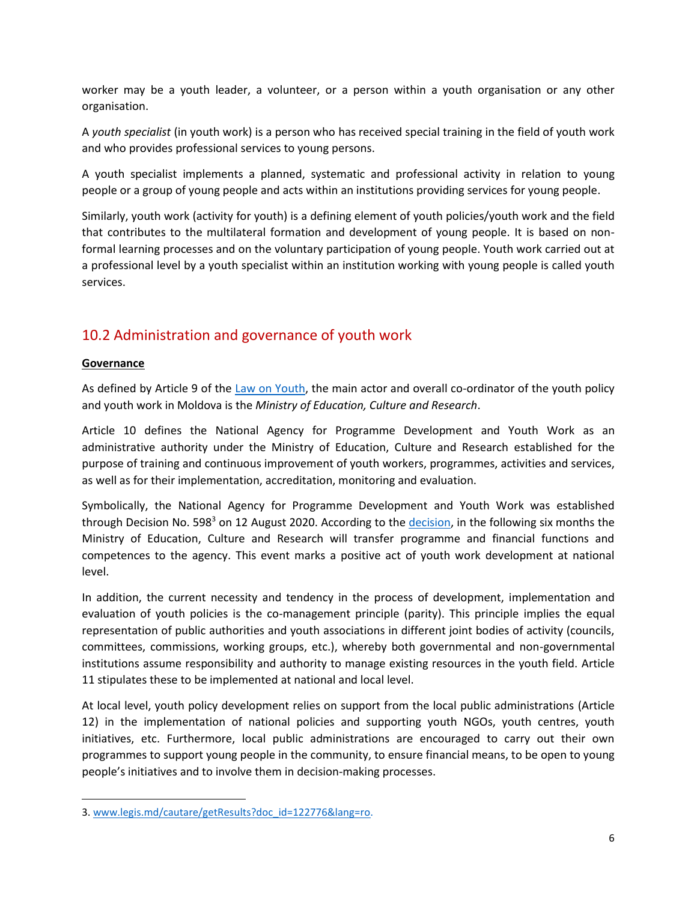worker may be a youth leader, a volunteer, or a person within a youth organisation or any other organisation.

A *youth specialist* (in youth work) is a person who has received special training in the field of youth work and who provides professional services to young persons.

A youth specialist implements a planned, systematic and professional activity in relation to young people or a group of young people and acts within an institutions providing services for young people.

Similarly, youth work (activity for youth) is a defining element of youth policies/youth work and the field that contributes to the multilateral formation and development of young people. It is based on nonformal learning processes and on the voluntary participation of young people. Youth work carried out at a professional level by a youth specialist within an institution working with young people is called youth services.

# 10.2 Administration and governance of youth work

#### **Governance**

As defined by Article 9 of the [Law on Youth,](http://lex.justice.md/index.php?action=view&view=doc&lang=1&id=365506) the main actor and overall co-ordinator of the youth policy and youth work in Moldova is the *Ministry of Education, Culture and Research*.

Article 10 defines the National Agency for Programme Development and Youth Work as an administrative authority under the Ministry of Education, Culture and Research established for the purpose of training and continuous improvement of youth workers, programmes, activities and services, as well as for their implementation, accreditation, monitoring and evaluation.

Symbolically, the National Agency for Programme Development and Youth Work was established through Decision No. 598<sup>3</sup> on 12 August 2020. According to the [decision,](https://www.legis.md/cautare/getResults?doc_id=122776&lang=ro) in the following six months the Ministry of Education, Culture and Research will transfer programme and financial functions and competences to the agency. This event marks a positive act of youth work development at national level.

In addition, the current necessity and tendency in the process of development, implementation and evaluation of youth policies is the co-management principle (parity). This principle implies the equal representation of public authorities and youth associations in different joint bodies of activity (councils, committees, commissions, working groups, etc.), whereby both governmental and non-governmental institutions assume responsibility and authority to manage existing resources in the youth field. Article 11 stipulates these to be implemented at national and local level.

At local level, youth policy development relies on support from the local public administrations (Article 12) in the implementation of national policies and supporting youth NGOs, youth centres, youth initiatives, etc. Furthermore, local public administrations are encouraged to carry out their own programmes to support young people in the community, to ensure financial means, to be open to young people's initiatives and to involve them in decision-making processes.

<sup>3.</sup> [www.legis.md/cautare/getResults?doc\\_id=122776&lang=ro.](www.legis.md/cautare/getResults?doc_id=122776&lang=ro)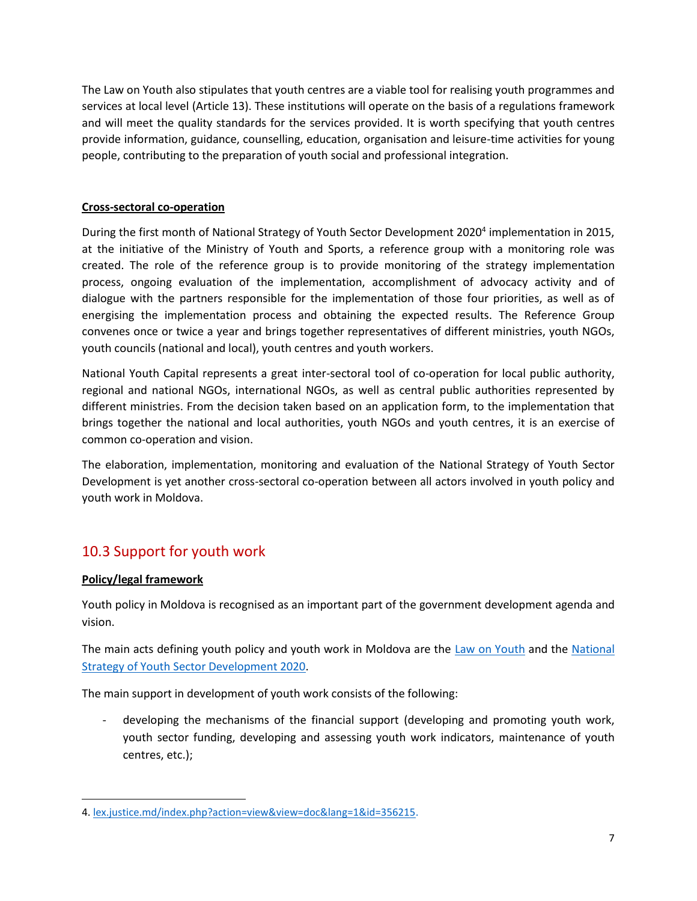The Law on Youth also stipulates that youth centres are a viable tool for realising youth programmes and services at local level (Article 13). These institutions will operate on the basis of a regulations framework and will meet the quality standards for the services provided. It is worth specifying that youth centres provide information, guidance, counselling, education, organisation and leisure-time activities for young people, contributing to the preparation of youth social and professional integration.

#### **Cross-sectoral co-operation**

During the first month of National Strategy of Youth Sector Development 2020<sup>4</sup> implementation in 2015, at the initiative of the Ministry of Youth and Sports, a reference group with a monitoring role was created. The role of the reference group is to provide monitoring of the strategy implementation process, ongoing evaluation of the implementation, accomplishment of advocacy activity and of dialogue with the partners responsible for the implementation of those four priorities, as well as of energising the implementation process and obtaining the expected results. The Reference Group convenes once or twice a year and brings together representatives of different ministries, youth NGOs, youth councils (national and local), youth centres and youth workers.

National Youth Capital represents a great inter-sectoral tool of co-operation for local public authority, regional and national NGOs, international NGOs, as well as central public authorities represented by different ministries. From the decision taken based on an application form, to the implementation that brings together the national and local authorities, youth NGOs and youth centres, it is an exercise of common co-operation and vision.

The elaboration, implementation, monitoring and evaluation of the National Strategy of Youth Sector Development is yet another cross-sectoral co-operation between all actors involved in youth policy and youth work in Moldova.

# 10.3 Support for youth work

### **Policy/legal framework**

Youth policy in Moldova is recognised as an important part of the government development agenda and vision.

The main acts defining youth policy and youth work in Moldova are the [Law on Youth](http://lex.justice.md/index.php?action=view&view=doc&lang=1&id=365506) and the National [Strategy of Youth Sector Development 2020.](file:///C:/Users/Korisnik/Downloads/lex.justice.md/index.php%3faction=view&view=doc&lang=1&id=356215)

The main support in development of youth work consists of the following:

developing the mechanisms of the financial support (developing and promoting youth work, youth sector funding, developing and assessing youth work indicators, maintenance of youth centres, etc.);

<sup>4.</sup> [lex.justice.md/index.php?action=view&view=doc&lang=1&id=356215.](http://lex.justice.md/index.php?action=view&view=doc&lang=1&id=356215)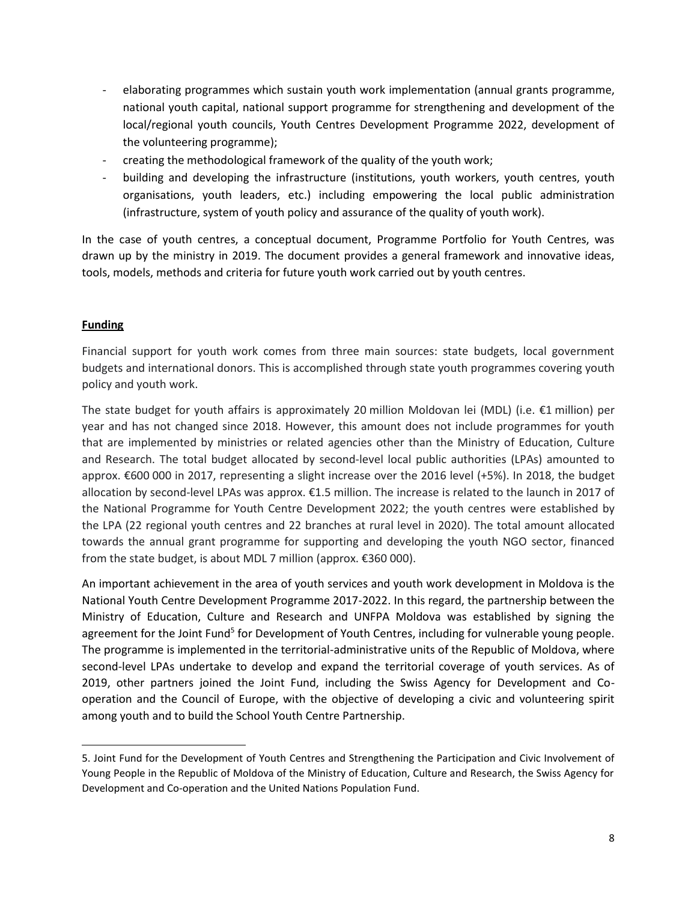- elaborating programmes which sustain youth work implementation (annual grants programme, national youth capital, national support programme for strengthening and development of the local/regional youth councils, Youth Centres Development Programme 2022, development of the volunteering programme);
- creating the methodological framework of the quality of the youth work;
- building and developing the infrastructure (institutions, youth workers, youth centres, youth organisations, youth leaders, etc.) including empowering the local public administration (infrastructure, system of youth policy and assurance of the quality of youth work).

In the case of youth centres, a conceptual document, Programme Portfolio for Youth Centres, was drawn up by the ministry in 2019. The document provides a general framework and innovative ideas, tools, models, methods and criteria for future youth work carried out by youth centres.

#### **Funding**

Financial support for youth work comes from three main sources: state budgets, local government budgets and international donors. This is accomplished through state youth programmes covering youth policy and youth work.

The state budget for youth affairs is approximately 20 million Moldovan lei (MDL) (i.e. €1 million) per year and has not changed since 2018. However, this amount does not include programmes for youth that are implemented by ministries or related agencies other than the Ministry of Education, Culture and Research. The total budget allocated by second-level local public authorities (LPAs) amounted to approx. €600 000 in 2017, representing a slight increase over the 2016 level (+5%). In 2018, the budget allocation by second-level LPAs was approx. €1.5 million. The increase is related to the launch in 2017 of the National Programme for Youth Centre Development 2022; the youth centres were established by the LPA (22 regional youth centres and 22 branches at rural level in 2020). The total amount allocated towards the annual grant programme for supporting and developing the youth NGO sector, financed from the state budget, is about MDL 7 million (approx. €360 000).

An important achievement in the area of youth services and youth work development in Moldova is the National Youth Centre Development Programme 2017-2022. In this regard, the partnership between the Ministry of Education, Culture and Research and UNFPA Moldova was established by signing the agreement for the Joint Fund<sup>5</sup> for Development of Youth Centres, including for vulnerable young people. The programme is implemented in the territorial-administrative units of the Republic of Moldova, where second-level LPAs undertake to develop and expand the territorial coverage of youth services. As of 2019, other partners joined the Joint Fund, including the Swiss Agency for Development and Cooperation and the Council of Europe, with the objective of developing a civic and volunteering spirit among youth and to build the School Youth Centre Partnership.

<sup>5.</sup> Joint Fund for the Development of Youth Centres and Strengthening the Participation and Civic Involvement of Young People in the Republic of Moldova of the Ministry of Education, Culture and Research, the Swiss Agency for Development and Co-operation and the United Nations Population Fund.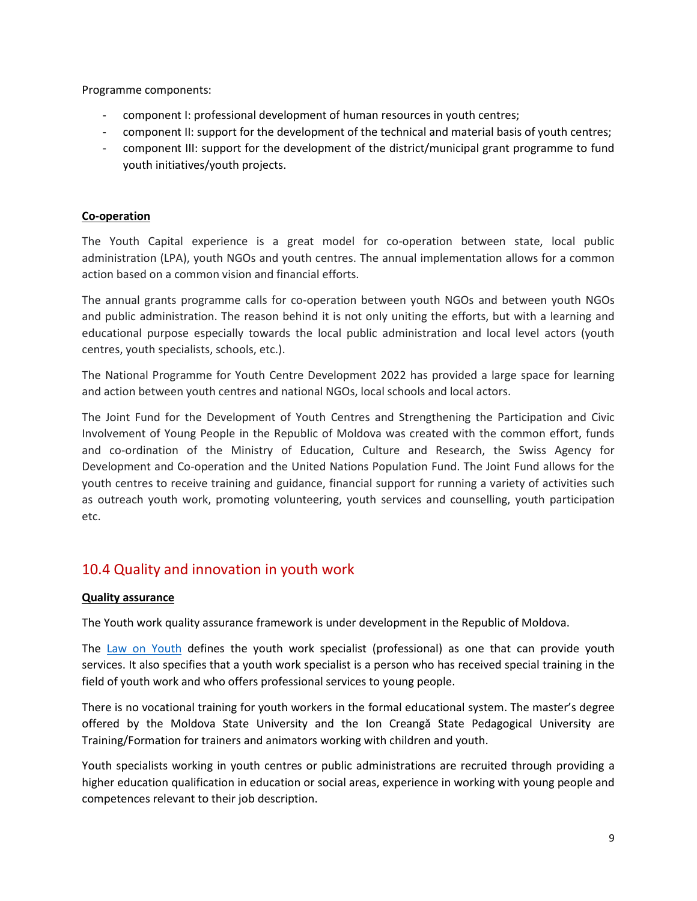Programme components:

- component I: professional development of human resources in youth centres;
- component II: support for the development of the technical and material basis of youth centres;
- component III: support for the development of the district/municipal grant programme to fund youth initiatives/youth projects.

#### **Co-operation**

The Youth Capital experience is a great model for co-operation between state, local public administration (LPA), youth NGOs and youth centres. The annual implementation allows for a common action based on a common vision and financial efforts.

The annual grants programme calls for co-operation between youth NGOs and between youth NGOs and public administration. The reason behind it is not only uniting the efforts, but with a learning and educational purpose especially towards the local public administration and local level actors (youth centres, youth specialists, schools, etc.).

The National Programme for Youth Centre Development 2022 has provided a large space for learning and action between youth centres and national NGOs, local schools and local actors.

The Joint Fund for the Development of Youth Centres and Strengthening the Participation and Civic Involvement of Young People in the Republic of Moldova was created with the common effort, funds and co-ordination of the Ministry of Education, Culture and Research, the Swiss Agency for Development and Co-operation and the United Nations Population Fund. The Joint Fund allows for the youth centres to receive training and guidance, financial support for running a variety of activities such as outreach youth work, promoting volunteering, youth services and counselling, youth participation etc.

### 10.4 Quality and innovation in youth work

#### **Quality assurance**

The Youth work quality assurance framework is under development in the Republic of Moldova.

The [Law on Youth](http://lex.justice.md/index.php?action=view&view=doc&lang=1&id=365506) defines the youth work specialist (professional) as one that can provide youth services. It also specifies that a youth work specialist is a person who has received special training in the field of youth work and who offers professional services to young people.

There is no vocational training for youth workers in the formal educational system. The master's degree offered by the Moldova State University and the Ion Creangă State Pedagogical University are Training/Formation for trainers and animators working with children and youth.

Youth specialists working in youth centres or public administrations are recruited through providing a higher education qualification in education or social areas, experience in working with young people and competences relevant to their job description.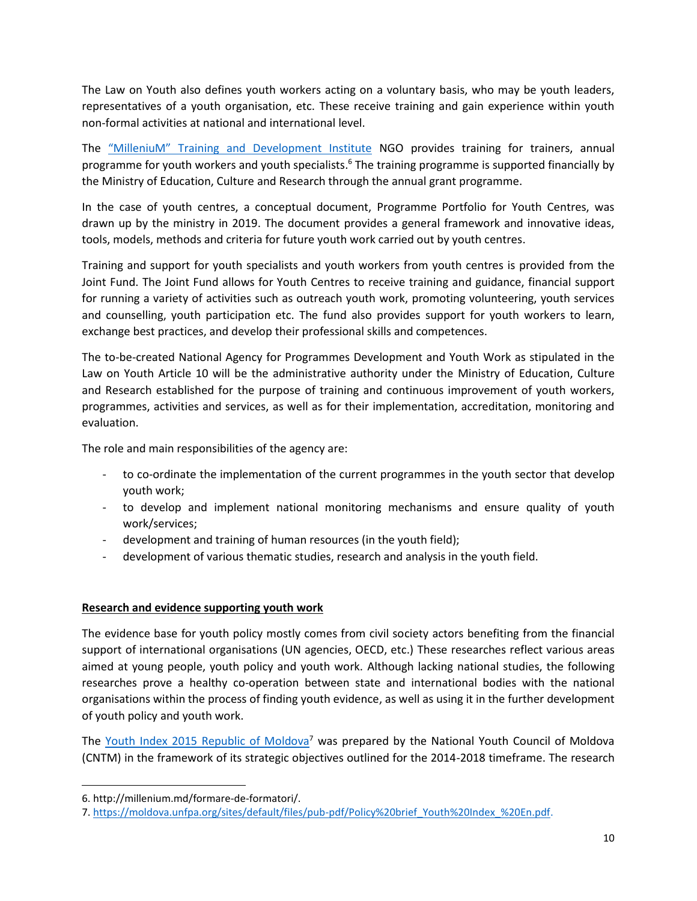The Law on Youth also defines youth workers acting on a voluntary basis, who may be youth leaders, representatives of a youth organisation, etc. These receive training and gain experience within youth non-formal activities at national and international level.

The ["MilleniuM" Training and Development Institute](http://millenium.md/) NGO provides training for trainers, annual programme for youth workers and youth specialists.<sup>6</sup> The training programme is supported financially by the Ministry of Education, Culture and Research through the annual grant programme.

In the case of youth centres, a conceptual document, Programme Portfolio for Youth Centres, was drawn up by the ministry in 2019. The document provides a general framework and innovative ideas, tools, models, methods and criteria for future youth work carried out by youth centres.

Training and support for youth specialists and youth workers from youth centres is provided from the Joint Fund. The Joint Fund allows for Youth Centres to receive training and guidance, financial support for running a variety of activities such as outreach youth work, promoting volunteering, youth services and counselling, youth participation etc. The fund also provides support for youth workers to learn, exchange best practices, and develop their professional skills and competences.

The to-be-created National Agency for Programmes Development and Youth Work as stipulated in the Law on Youth Article 10 will be the administrative authority under the Ministry of Education, Culture and Research established for the purpose of training and continuous improvement of youth workers, programmes, activities and services, as well as for their implementation, accreditation, monitoring and evaluation.

The role and main responsibilities of the agency are:

- to co-ordinate the implementation of the current programmes in the youth sector that develop youth work;
- to develop and implement national monitoring mechanisms and ensure quality of youth work/services;
- development and training of human resources (in the youth field);
- development of various thematic studies, research and analysis in the youth field.

#### **Research and evidence supporting youth work**

The evidence base for youth policy mostly comes from civil society actors benefiting from the financial support of international organisations (UN agencies, OECD, etc.) These researches reflect various areas aimed at young people, youth policy and youth work. Although lacking national studies, the following researches prove a healthy co-operation between state and international bodies with the national organisations within the process of finding youth evidence, as well as using it in the further development of youth policy and youth work.

The [Youth Index 2015 Republic of Moldova](https://moldova.unfpa.org/sites/default/files/pub-pdf/Policy%20brief_Youth%20Index_%20En.pdf)<sup>7</sup> was prepared by the National Youth Council of Moldova (CNTM) in the framework of its strategic objectives outlined for the 2014-2018 timeframe. The research

<sup>6.</sup> http://millenium.md/formare-de-formatori/.

<sup>7.</sup> [https://moldova.unfpa.org/sites/default/files/pub-pdf/Policy%20brief\\_Youth%20Index\\_%20En.pdf.](https://moldova.unfpa.org/sites/default/files/pub-pdf/Policy%20brief_Youth%20Index_%20En.pdf)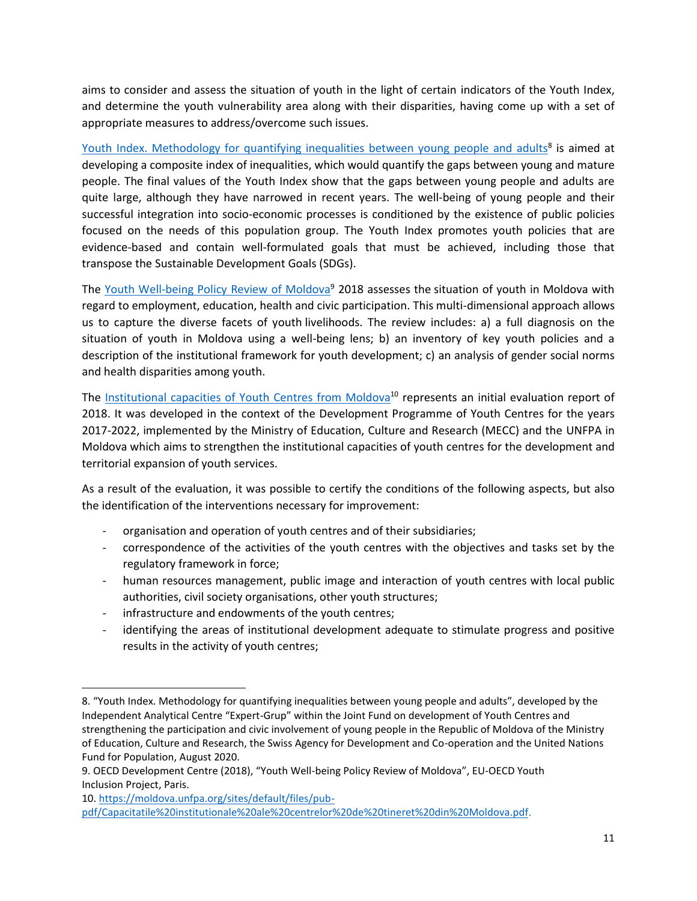aims to consider and assess the situation of youth in the light of certain indicators of the Youth Index, and determine the youth vulnerability area along with their disparities, having come up with a set of appropriate measures to address/overcome such issues.

[Youth Index. Methodology for quantifying inequalities between young people and adults](https://moldova.unfpa.org/sites/default/files/pub-pdf/indicele_de_tineret.pdf)<sup>8</sup> is aimed at developing a composite index of inequalities, which would quantify the gaps between young and mature people. The final values of the Youth Index show that the gaps between young people and adults are quite large, although they have narrowed in recent years. The well-being of young people and their successful integration into socio-economic processes is conditioned by the existence of public policies focused on the needs of this population group. The Youth Index promotes youth policies that are evidence-based and contain well-formulated goals that must be achieved, including those that transpose the Sustainable Development Goals (SDGs).

The [Youth Well-being Policy Review of Moldova](https://www.oecd.org/dev/inclusivesocietiesanddevelopment/youthwell-beingpolicyreviewofmoldovaa60secondsguide.htm)<sup>9</sup> 2018 assesses the situation of youth in Moldova with regard to employment, education, health and civic participation. This multi-dimensional approach allows us to capture the diverse facets of youth livelihoods. The review includes: a) a full diagnosis on the situation of youth in Moldova using a well-being lens; b) an inventory of key youth policies and a description of the institutional framework for youth development; c) an analysis of gender social norms and health disparities among youth.

The [Institutional capacities of Youth Centres](https://moldova.unfpa.org/sites/default/files/pub-pdf/Capacitatile%20institutionale%20ale%20centrelor%20de%20tineret%20din%20Moldova.pdf) from Moldova<sup>10</sup> represents an initial evaluation report of 2018. It was developed in the context of the Development Programme of Youth Centres for the years 2017-2022, implemented by the Ministry of Education, Culture and Research (MECC) and the UNFPA in Moldova which aims to strengthen the institutional capacities of youth centres for the development and territorial expansion of youth services.

As a result of the evaluation, it was possible to certify the conditions of the following aspects, but also the identification of the interventions necessary for improvement:

- organisation and operation of youth centres and of their subsidiaries;
- correspondence of the activities of the youth centres with the objectives and tasks set by the regulatory framework in force;
- human resources management, public image and interaction of youth centres with local public authorities, civil society organisations, other youth structures;
- infrastructure and endowments of the youth centres;
- identifying the areas of institutional development adequate to stimulate progress and positive results in the activity of youth centres;

<sup>8</sup>. "Youth Index. Methodology for quantifying inequalities between young people and adults", developed by the Independent Analytical Centre "Expert-Grup" within the Joint Fund on development of Youth Centres and strengthening the participation and civic involvement of young people in the Republic of Moldova of the Ministry of Education, Culture and Research, the Swiss Agency for Development and Co-operation and the United Nations Fund for Population, August 2020.

<sup>9</sup>. OECD Development Centre (2018), "Youth Well-being Policy Review of Moldova", EU-OECD Youth Inclusion Project, Paris.

<sup>10.</sup> [https://moldova.unfpa.org/sites/default/files/pub](https://moldova.unfpa.org/sites/default/files/pub-pdf/Capacitatile%20institutionale%20ale%20centrelor%20de%20tineret%20din%20Moldova.pdf)[pdf/Capacitatile%20institutionale%20ale%20centrelor%20de%20tineret%20din%20Moldova.pdf.](https://moldova.unfpa.org/sites/default/files/pub-pdf/Capacitatile%20institutionale%20ale%20centrelor%20de%20tineret%20din%20Moldova.pdf)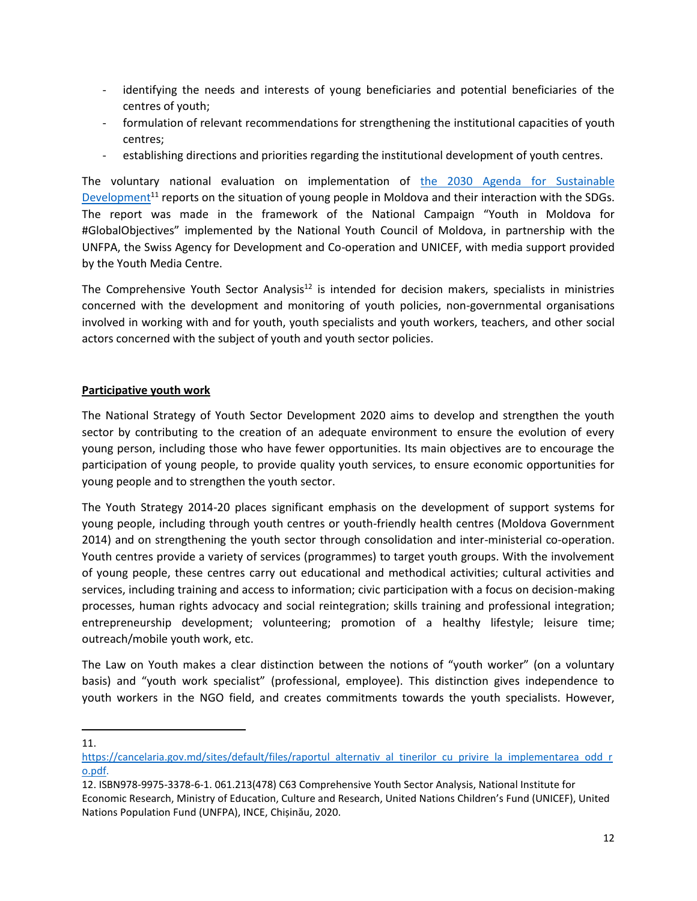- identifying the needs and interests of young beneficiaries and potential beneficiaries of the centres of youth;
- formulation of relevant recommendations for strengthening the institutional capacities of youth centres;
- establishing directions and priorities regarding the institutional development of youth centres.

The voluntary national evaluation on implementation of [the 2030 Agenda for Sustainable](https://cancelaria.gov.md/sites/default/files/raportul_alternativ_al_tinerilor_cu_privire_la_implementarea_odd_ro.pdf)  [Development](https://cancelaria.gov.md/sites/default/files/raportul_alternativ_al_tinerilor_cu_privire_la_implementarea_odd_ro.pdf)<sup>11</sup> reports on the situation of young people in Moldova and their interaction with the SDGs. The report was made in the framework of the National Campaign "Youth in Moldova for #GlobalObjectives" implemented by the National Youth Council of Moldova, in partnership with the UNFPA, the Swiss Agency for Development and Co-operation and UNICEF, with media support provided by the Youth Media Centre.

The Comprehensive Youth Sector Analysis<sup>12</sup> is intended for decision makers, specialists in ministries concerned with the development and monitoring of youth policies, non-governmental organisations involved in working with and for youth, youth specialists and youth workers, teachers, and other social actors concerned with the subject of youth and youth sector policies.

#### **Participative youth work**

The National Strategy of Youth Sector Development 2020 aims to develop and strengthen the youth sector by contributing to the creation of an adequate environment to ensure the evolution of every young person, including those who have fewer opportunities. Its main objectives are to encourage the participation of young people, to provide quality youth services, to ensure economic opportunities for young people and to strengthen the youth sector.

The Youth Strategy 2014-20 places significant emphasis on the development of support systems for young people, including through youth centres or youth-friendly health centres (Moldova Government 2014) and on strengthening the youth sector through consolidation and inter-ministerial co-operation. Youth centres provide a variety of services (programmes) to target youth groups. With the involvement of young people, these centres carry out educational and methodical activities; cultural activities and services, including training and access to information; civic participation with a focus on decision-making processes, human rights advocacy and social reintegration; skills training and professional integration; entrepreneurship development; volunteering; promotion of a healthy lifestyle; leisure time; outreach/mobile youth work, etc.

The Law on Youth makes a clear distinction between the notions of "youth worker" (on a voluntary basis) and "youth work specialist" (professional, employee). This distinction gives independence to youth workers in the NGO field, and creates commitments towards the youth specialists. However,

11.

[https://cancelaria.gov.md/sites/default/files/raportul\\_alternativ\\_al\\_tinerilor\\_cu\\_privire\\_la\\_implementarea\\_odd\\_r](https://cancelaria.gov.md/sites/default/files/raportul_alternativ_al_tinerilor_cu_privire_la_implementarea_odd_ro.pdf) [o.pdf.](https://cancelaria.gov.md/sites/default/files/raportul_alternativ_al_tinerilor_cu_privire_la_implementarea_odd_ro.pdf)

<sup>12.</sup> ISBN978-9975-3378-6-1. 061.213(478) C63 Comprehensive Youth Sector Analysis, National Institute for Economic Research, Ministry of Education, Culture and Research, United Nations Children's Fund (UNICEF), United Nations Population Fund (UNFPA), INCE, Chișinău, 2020.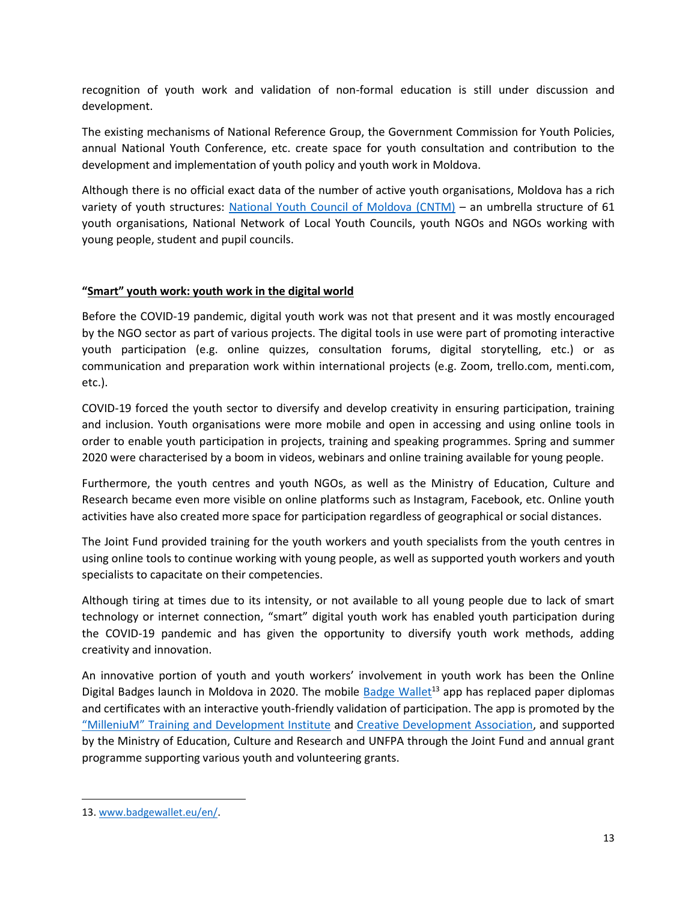recognition of youth work and validation of non-formal education is still under discussion and development.

The existing mechanisms of National Reference Group, the Government Commission for Youth Policies, annual National Youth Conference, etc. create space for youth consultation and contribution to the development and implementation of youth policy and youth work in Moldova.

Although there is no official exact data of the number of active youth organisations, Moldova has a rich variety of youth structures: [National Youth Council of Moldova](https://cntm.md/) (CNTM) – an umbrella structure of 61 youth organisations, National Network of Local Youth Councils, youth NGOs and NGOs working with young people, student and pupil councils.

#### **"Smart" youth work: youth work in the digital world**

Before the COVID-19 pandemic, digital youth work was not that present and it was mostly encouraged by the NGO sector as part of various projects. The digital tools in use were part of promoting interactive youth participation (e.g. online quizzes, consultation forums, digital storytelling, etc.) or as communication and preparation work within international projects (e.g. Zoom, trello.com, menti.com, etc.).

COVID-19 forced the youth sector to diversify and develop creativity in ensuring participation, training and inclusion. Youth organisations were more mobile and open in accessing and using online tools in order to enable youth participation in projects, training and speaking programmes. Spring and summer 2020 were characterised by a boom in videos, webinars and online training available for young people.

Furthermore, the youth centres and youth NGOs, as well as the Ministry of Education, Culture and Research became even more visible on online platforms such as Instagram, Facebook, etc. Online youth activities have also created more space for participation regardless of geographical or social distances.

The Joint Fund provided training for the youth workers and youth specialists from the youth centres in using online tools to continue working with young people, as well as supported youth workers and youth specialists to capacitate on their competencies.

Although tiring at times due to its intensity, or not available to all young people due to lack of smart technology or internet connection, "smart" digital youth work has enabled youth participation during the COVID-19 pandemic and has given the opportunity to diversify youth work methods, adding creativity and innovation.

An innovative portion of youth and youth workers' involvement in youth work has been the Online Digital Badges launch in Moldova in 2020. The mobile [Badge Wallet](https://www.badgewallet.eu/en/)<sup>13</sup> app has replaced paper diplomas and certificates with an interactive youth-friendly validation of participation. The app is promoted by the ["MilleniuM" Training and Development Institute](http://millenium.md/) and [Creative Development Association,](https://usalumni.md/) and supported by the Ministry of Education, Culture and Research and UNFPA through the Joint Fund and annual grant programme supporting various youth and volunteering grants.

<sup>13.</sup> [www.badgewallet.eu/en/.](www.badgewallet.eu/en/)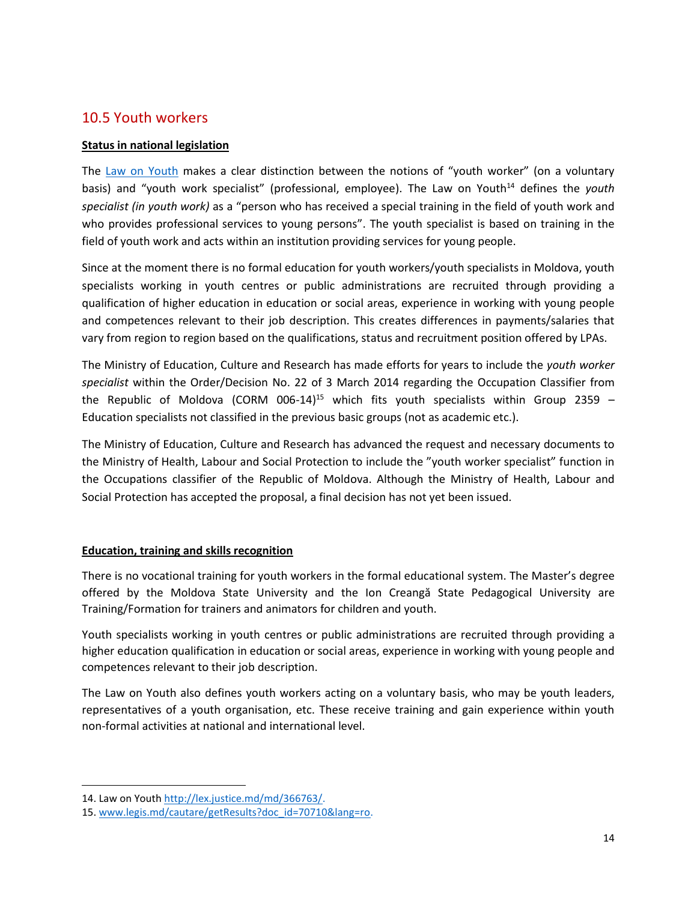### 10.5 Youth workers

#### **Status in national legislation**

The [Law on Youth](http://lex.justice.md/index.php?action=view&view=doc&lang=1&id=365506) makes a clear distinction between the notions of "youth worker" (on a voluntary basis) and "youth work specialist" (professional, employee). The Law on Youth<sup>14</sup> defines the *youth specialist (in youth work)* as a "person who has received a special training in the field of youth work and who provides professional services to young persons". The youth specialist is based on training in the field of youth work and acts within an institution providing services for young people.

Since at the moment there is no formal education for youth workers/youth specialists in Moldova, youth specialists working in youth centres or public administrations are recruited through providing a qualification of higher education in education or social areas, experience in working with young people and competences relevant to their job description. This creates differences in payments/salaries that vary from region to region based on the qualifications, status and recruitment position offered by LPAs.

The Ministry of Education, Culture and Research has made efforts for years to include the *youth worker specialist* within the Order/Decision No. 22 of 3 March 2014 regarding the Occupation Classifier from the Republic of Moldova (CORM 006-14)<sup>15</sup> which fits youth specialists within Group 2359 -Education specialists not classified in the previous basic groups (not as academic etc.).

The Ministry of Education, Culture and Research has advanced the request and necessary documents to the Ministry of Health, Labour and Social Protection to include the "youth worker specialist" function in the Occupations classifier of the Republic of Moldova. Although the Ministry of Health, Labour and Social Protection has accepted the proposal, a final decision has not yet been issued.

#### **Education, training and skills recognition**

There is no vocational training for youth workers in the formal educational system. The Master's degree offered by the Moldova State University and the Ion Creangă State Pedagogical University are Training/Formation for trainers and animators for children and youth.

Youth specialists working in youth centres or public administrations are recruited through providing a higher education qualification in education or social areas, experience in working with young people and competences relevant to their job description.

The Law on Youth also defines youth workers acting on a voluntary basis, who may be youth leaders, representatives of a youth organisation, etc. These receive training and gain experience within youth non-formal activities at national and international level.

<sup>14.</sup> Law on Youth [http://lex.justice.md/md/366763/.](http://lex.justice.md/md/366763/)

<sup>15.</sup> [www.legis.md/cautare/getResults?doc\\_id=70710&lang=ro.](www.legis.md/cautare/getResults?doc_id=70710&lang=ro)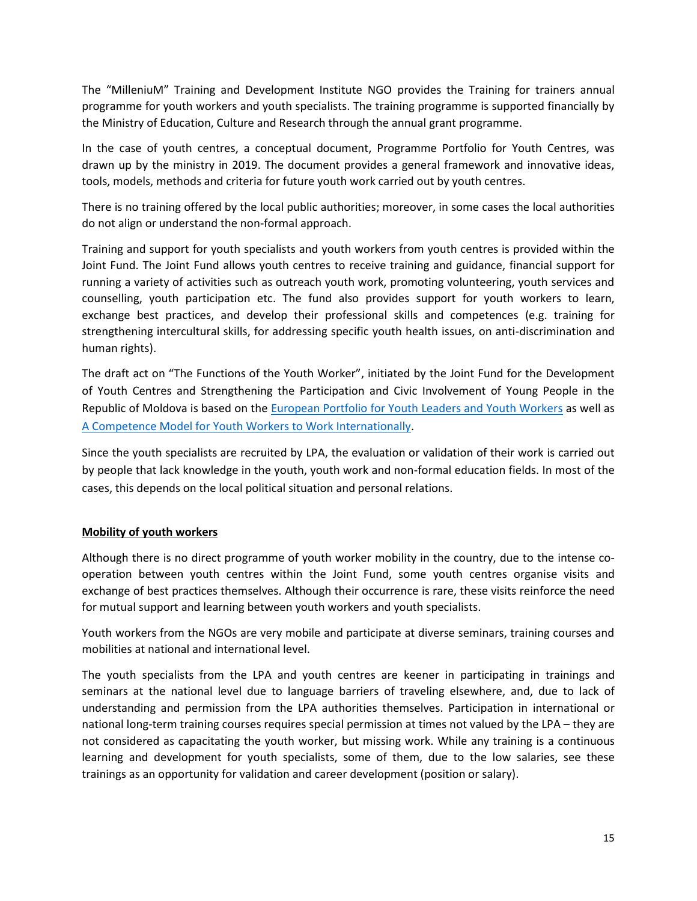The "MilleniuM" Training and Development Institute NGO provides the Training for trainers annual programme for youth workers and youth specialists. The training programme is supported financially by the Ministry of Education, Culture and Research through the annual grant programme.

In the case of youth centres, a conceptual document, Programme Portfolio for Youth Centres, was drawn up by the ministry in 2019. The document provides a general framework and innovative ideas, tools, models, methods and criteria for future youth work carried out by youth centres.

There is no training offered by the local public authorities; moreover, in some cases the local authorities do not align or understand the non-formal approach.

Training and support for youth specialists and youth workers from youth centres is provided within the Joint Fund. The Joint Fund allows youth centres to receive training and guidance, financial support for running a variety of activities such as outreach youth work, promoting volunteering, youth services and counselling, youth participation etc. The fund also provides support for youth workers to learn, exchange best practices, and develop their professional skills and competences (e.g. training for strengthening intercultural skills, for addressing specific youth health issues, on anti-discrimination and human rights).

The draft act on "The Functions of the Youth Worker", initiated by the Joint Fund for the Development of Youth Centres and Strengthening the Participation and Civic Involvement of Young People in the Republic of Moldova is based on the European [Portfolio for Youth Leaders and Youth Workers](https://pjp-eu.coe.int/en/web/youth-partnership/european-portfolio) as well as [A Competence Model for Youth Workers to Work Internationally.](https://www.salto-youth.net/downloads/4-17-3460/CompetencemodelForYoutworker_Online-web.pdf.pdf)

Since the youth specialists are recruited by LPA, the evaluation or validation of their work is carried out by people that lack knowledge in the youth, youth work and non-formal education fields. In most of the cases, this depends on the local political situation and personal relations.

#### **Mobility of youth workers**

Although there is no direct programme of youth worker mobility in the country, due to the intense cooperation between youth centres within the Joint Fund, some youth centres organise visits and exchange of best practices themselves. Although their occurrence is rare, these visits reinforce the need for mutual support and learning between youth workers and youth specialists.

Youth workers from the NGOs are very mobile and participate at diverse seminars, training courses and mobilities at national and international level.

The youth specialists from the LPA and youth centres are keener in participating in trainings and seminars at the national level due to language barriers of traveling elsewhere, and, due to lack of understanding and permission from the LPA authorities themselves. Participation in international or national long-term training courses requires special permission at times not valued by the LPA – they are not considered as capacitating the youth worker, but missing work. While any training is a continuous learning and development for youth specialists, some of them, due to the low salaries, see these trainings as an opportunity for validation and career development (position or salary).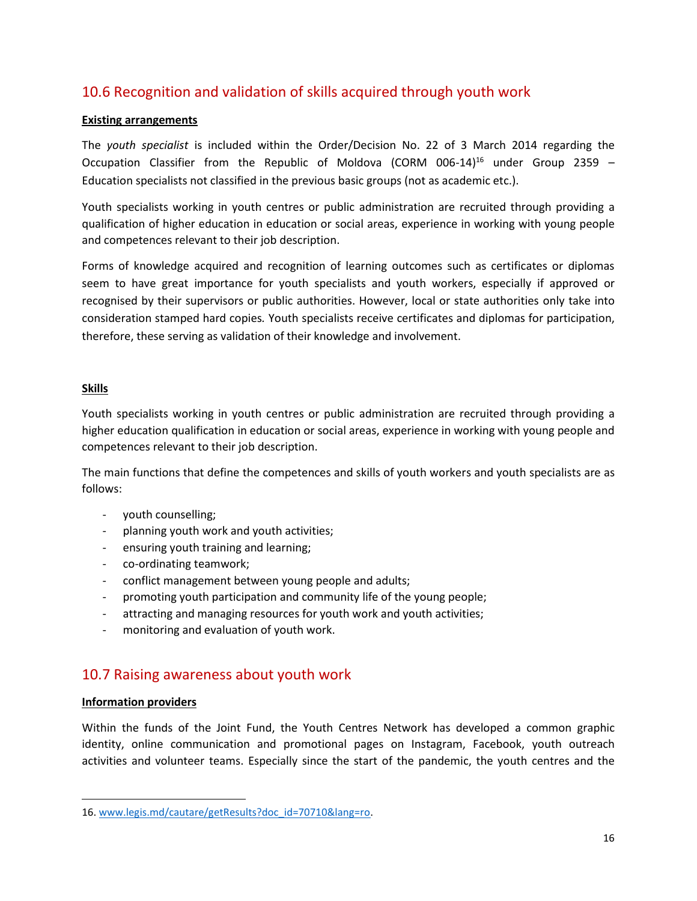# 10.6 Recognition and validation of skills acquired through youth work

#### **Existing arrangements**

The *youth specialist* is included within the Order/Decision No. 22 of 3 March 2014 regarding the Occupation Classifier from the Republic of Moldova (CORM 006-14)<sup>16</sup> under Group 2359 – Education specialists not classified in the previous basic groups (not as academic etc.).

Youth specialists working in youth centres or public administration are recruited through providing a qualification of higher education in education or social areas, experience in working with young people and competences relevant to their job description.

Forms of knowledge acquired and recognition of learning outcomes such as certificates or diplomas seem to have great importance for youth specialists and youth workers, especially if approved or recognised by their supervisors or public authorities. However, local or state authorities only take into consideration stamped hard copies*.* Youth specialists receive certificates and diplomas for participation, therefore, these serving as validation of their knowledge and involvement.

#### **Skills**

Youth specialists working in youth centres or public administration are recruited through providing a higher education qualification in education or social areas, experience in working with young people and competences relevant to their job description.

The main functions that define the competences and skills of youth workers and youth specialists are as follows:

- youth counselling;
- planning youth work and youth activities;
- ensuring youth training and learning;
- co-ordinating teamwork;
- conflict management between young people and adults;
- promoting youth participation and community life of the young people;
- attracting and managing resources for youth work and youth activities;
- monitoring and evaluation of youth work.

### 10.7 Raising awareness about youth work

#### **Information providers**

Within the funds of the Joint Fund, the Youth Centres Network has developed a common graphic identity, online communication and promotional pages on Instagram, Facebook, youth outreach activities and volunteer teams. Especially since the start of the pandemic, the youth centres and the

<sup>16.</sup> [www.legis.md/cautare/getResults?doc\\_id=70710&lang=ro.](www.legis.md/cautare/getResults?doc_id=70710&lang=ro)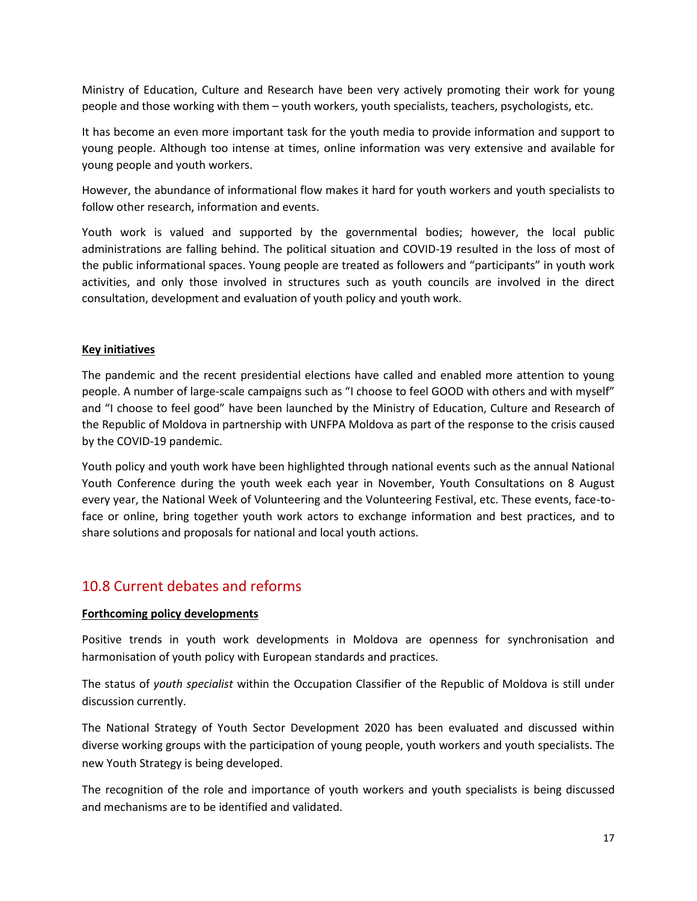Ministry of Education, Culture and Research have been very actively promoting their work for young people and those working with them – youth workers, youth specialists, teachers, psychologists, etc.

It has become an even more important task for the youth media to provide information and support to young people. Although too intense at times, online information was very extensive and available for young people and youth workers.

However, the abundance of informational flow makes it hard for youth workers and youth specialists to follow other research, information and events.

Youth work is valued and supported by the governmental bodies; however, the local public administrations are falling behind. The political situation and COVID-19 resulted in the loss of most of the public informational spaces. Young people are treated as followers and "participants" in youth work activities, and only those involved in structures such as youth councils are involved in the direct consultation, development and evaluation of youth policy and youth work.

#### **Key initiatives**

The pandemic and the recent presidential elections have called and enabled more attention to young people. A number of large-scale campaigns such as "I choose to feel GOOD with others and with myself" and "I choose to feel good" have been launched by the Ministry of Education, Culture and Research of the Republic of Moldova in partnership with UNFPA Moldova as part of the response to the crisis caused by the COVID-19 pandemic.

Youth policy and youth work have been highlighted through national events such as the annual National Youth Conference during the youth week each year in November, Youth Consultations on 8 August every year, the National Week of Volunteering and the Volunteering Festival, etc. These events, face-toface or online, bring together youth work actors to exchange information and best practices, and to share solutions and proposals for national and local youth actions.

# 10.8 Current debates and reforms

#### **Forthcoming policy developments**

Positive trends in youth work developments in Moldova are openness for synchronisation and harmonisation of youth policy with European standards and practices.

The status of *youth specialist* within the Occupation Classifier of the Republic of Moldova is still under discussion currently.

The National Strategy of Youth Sector Development 2020 has been evaluated and discussed within diverse working groups with the participation of young people, youth workers and youth specialists. The new Youth Strategy is being developed.

The recognition of the role and importance of youth workers and youth specialists is being discussed and mechanisms are to be identified and validated.